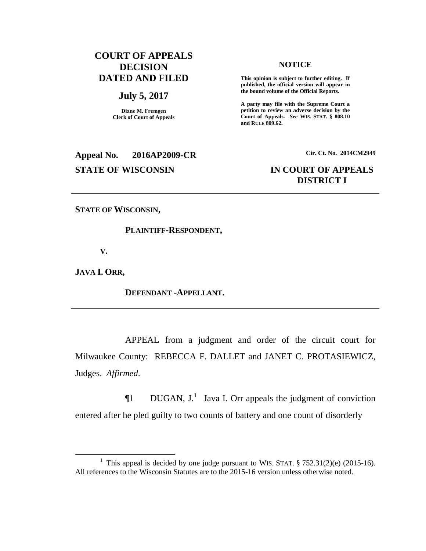# **COURT OF APPEALS DECISION DATED AND FILED**

#### **July 5, 2017**

**Diane M. Fremgen Clerk of Court of Appeals**

#### **NOTICE**

**This opinion is subject to further editing. If published, the official version will appear in the bound volume of the Official Reports.** 

**A party may file with the Supreme Court a petition to review an adverse decision by the Court of Appeals.** *See* **WIS. STAT. § 808.10 and RULE 809.62.** 

**Appeal No. 2016AP2009-CR Cir. Ct. No. 2014CM2949 STATE OF WISCONSIN IN COURT OF APPEALS**

# **DISTRICT I**

**STATE OF WISCONSIN,** 

#### **PLAINTIFF-RESPONDENT,**

**V.**

**JAVA I. ORR,** 

 $\overline{a}$ 

#### **DEFENDANT -APPELLANT.**

APPEAL from a judgment and order of the circuit court for Milwaukee County: REBECCA F. DALLET and JANET C. PROTASIEWICZ, Judges. *Affirmed*.

 $\P1$  DUGAN, J.<sup>1</sup> Java I. Orr appeals the judgment of conviction entered after he pled guilty to two counts of battery and one count of disorderly

<sup>&</sup>lt;sup>1</sup> This appeal is decided by one judge pursuant to WIS. STAT.  $\S 752.31(2)(e)$  (2015-16). All references to the Wisconsin Statutes are to the 2015-16 version unless otherwise noted.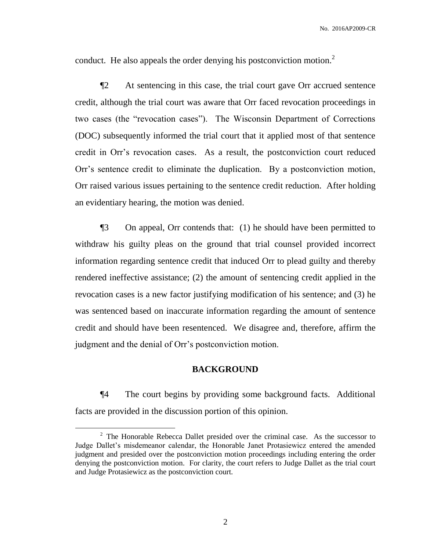conduct. He also appeals the order denying his postconviction motion.<sup>2</sup>

¶2 At sentencing in this case, the trial court gave Orr accrued sentence credit, although the trial court was aware that Orr faced revocation proceedings in two cases (the "revocation cases"). The Wisconsin Department of Corrections (DOC) subsequently informed the trial court that it applied most of that sentence credit in Orr's revocation cases. As a result, the postconviction court reduced Orr's sentence credit to eliminate the duplication. By a postconviction motion, Orr raised various issues pertaining to the sentence credit reduction. After holding an evidentiary hearing, the motion was denied.

¶3 On appeal, Orr contends that: (1) he should have been permitted to withdraw his guilty pleas on the ground that trial counsel provided incorrect information regarding sentence credit that induced Orr to plead guilty and thereby rendered ineffective assistance; (2) the amount of sentencing credit applied in the revocation cases is a new factor justifying modification of his sentence; and (3) he was sentenced based on inaccurate information regarding the amount of sentence credit and should have been resentenced. We disagree and, therefore, affirm the judgment and the denial of Orr's postconviction motion.

#### **BACKGROUND**

¶4 The court begins by providing some background facts. Additional facts are provided in the discussion portion of this opinion.

 $\overline{a}$ 

 $2^2$  The Honorable Rebecca Dallet presided over the criminal case. As the successor to Judge Dallet's misdemeanor calendar, the Honorable Janet Protasiewicz entered the amended judgment and presided over the postconviction motion proceedings including entering the order denying the postconviction motion. For clarity, the court refers to Judge Dallet as the trial court and Judge Protasiewicz as the postconviction court.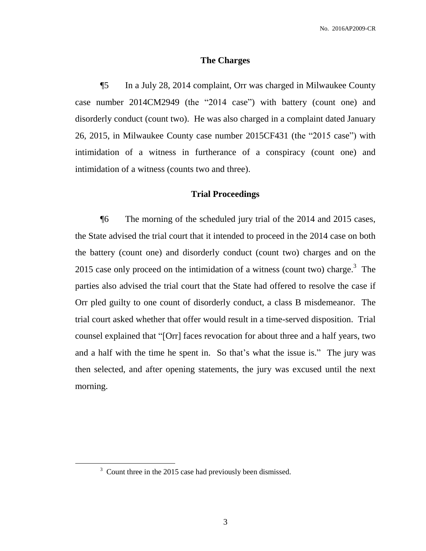#### **The Charges**

¶5 In a July 28, 2014 complaint, Orr was charged in Milwaukee County case number 2014CM2949 (the "2014 case") with battery (count one) and disorderly conduct (count two). He was also charged in a complaint dated January 26, 2015, in Milwaukee County case number 2015CF431 (the "2015 case") with intimidation of a witness in furtherance of a conspiracy (count one) and intimidation of a witness (counts two and three).

#### **Trial Proceedings**

¶6 The morning of the scheduled jury trial of the 2014 and 2015 cases, the State advised the trial court that it intended to proceed in the 2014 case on both the battery (count one) and disorderly conduct (count two) charges and on the 2015 case only proceed on the intimidation of a witness (count two) charge.<sup>3</sup> The parties also advised the trial court that the State had offered to resolve the case if Orr pled guilty to one count of disorderly conduct, a class B misdemeanor. The trial court asked whether that offer would result in a time-served disposition. Trial counsel explained that "[Orr] faces revocation for about three and a half years, two and a half with the time he spent in. So that's what the issue is." The jury was then selected, and after opening statements, the jury was excused until the next morning.

 $\overline{a}$ 

 $3$  Count three in the 2015 case had previously been dismissed.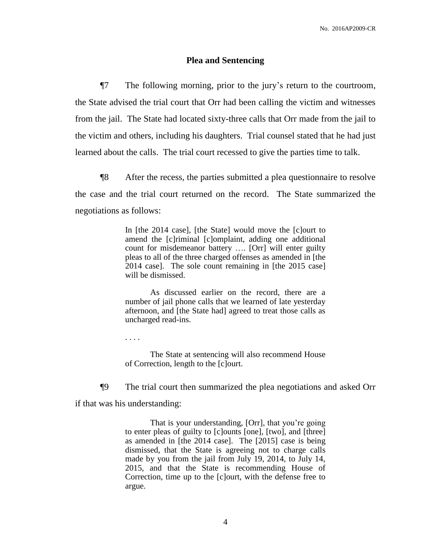#### **Plea and Sentencing**

¶7 The following morning, prior to the jury's return to the courtroom, the State advised the trial court that Orr had been calling the victim and witnesses from the jail. The State had located sixty-three calls that Orr made from the jail to the victim and others, including his daughters. Trial counsel stated that he had just learned about the calls. The trial court recessed to give the parties time to talk.

¶8 After the recess, the parties submitted a plea questionnaire to resolve the case and the trial court returned on the record. The State summarized the negotiations as follows:

> In [the 2014 case], [the State] would move the [c]ourt to amend the [c]riminal [c]omplaint, adding one additional count for misdemeanor battery …. [Orr] will enter guilty pleas to all of the three charged offenses as amended in [the 2014 case]. The sole count remaining in [the 2015 case] will be dismissed.

> As discussed earlier on the record, there are a number of jail phone calls that we learned of late yesterday afternoon, and [the State had] agreed to treat those calls as uncharged read-ins.

. . . .

The State at sentencing will also recommend House of Correction, length to the [c]ourt.

¶9 The trial court then summarized the plea negotiations and asked Orr

if that was his understanding:

That is your understanding, [Orr], that you're going to enter pleas of guilty to [c]ounts [one], [two], and [three] as amended in [the 2014 case]. The [2015] case is being dismissed, that the State is agreeing not to charge calls made by you from the jail from July 19, 2014, to July 14, 2015, and that the State is recommending House of Correction, time up to the [c]ourt, with the defense free to argue.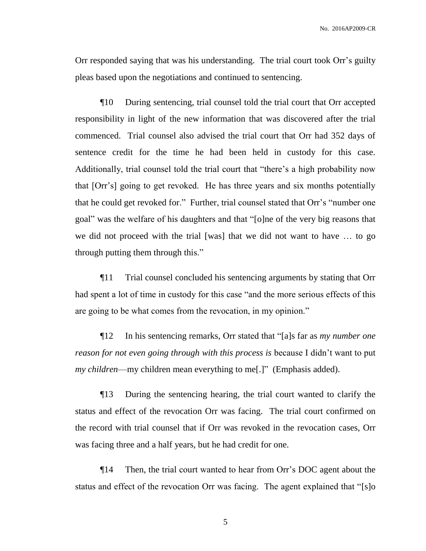Orr responded saying that was his understanding. The trial court took Orr's guilty pleas based upon the negotiations and continued to sentencing.

¶10 During sentencing, trial counsel told the trial court that Orr accepted responsibility in light of the new information that was discovered after the trial commenced. Trial counsel also advised the trial court that Orr had 352 days of sentence credit for the time he had been held in custody for this case. Additionally, trial counsel told the trial court that "there's a high probability now that [Orr's] going to get revoked. He has three years and six months potentially that he could get revoked for." Further, trial counsel stated that Orr's "number one goal" was the welfare of his daughters and that "[o]ne of the very big reasons that we did not proceed with the trial [was] that we did not want to have … to go through putting them through this."

¶11 Trial counsel concluded his sentencing arguments by stating that Orr had spent a lot of time in custody for this case "and the more serious effects of this are going to be what comes from the revocation, in my opinion."

¶12 In his sentencing remarks, Orr stated that "[a]s far as *my number one reason for not even going through with this process is* because I didn't want to put *my children*—my children mean everything to me[.]" (Emphasis added).

¶13 During the sentencing hearing, the trial court wanted to clarify the status and effect of the revocation Orr was facing. The trial court confirmed on the record with trial counsel that if Orr was revoked in the revocation cases, Orr was facing three and a half years, but he had credit for one.

¶14 Then, the trial court wanted to hear from Orr's DOC agent about the status and effect of the revocation Orr was facing. The agent explained that "[s]o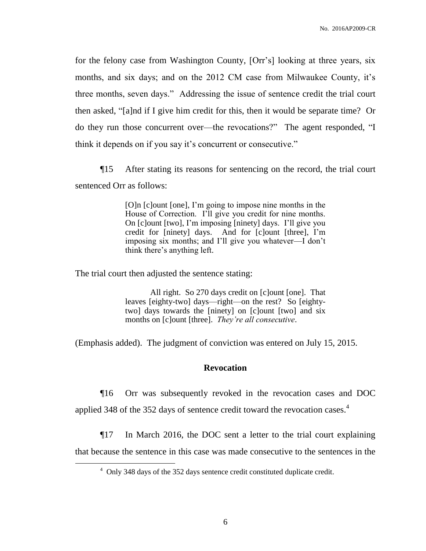for the felony case from Washington County, [Orr's] looking at three years, six months, and six days; and on the 2012 CM case from Milwaukee County, it's three months, seven days." Addressing the issue of sentence credit the trial court then asked, "[a]nd if I give him credit for this, then it would be separate time? Or do they run those concurrent over—the revocations?" The agent responded, "I think it depends on if you say it's concurrent or consecutive."

¶15 After stating its reasons for sentencing on the record, the trial court sentenced Orr as follows:

> [O]n [c]ount [one], I'm going to impose nine months in the House of Correction. I'll give you credit for nine months. On [c]ount [two], I'm imposing [ninety] days. I'll give you credit for [ninety] days. And for [c]ount [three], I'm imposing six months; and I'll give you whatever—I don't think there's anything left.

The trial court then adjusted the sentence stating:

 $\overline{a}$ 

All right. So 270 days credit on [c]ount [one]. That leaves [eighty-two] days—right—on the rest? So [eightytwo] days towards the [ninety] on [c]ount [two] and six months on [c]ount [three]. *They're all consecutive*.

(Emphasis added). The judgment of conviction was entered on July 15, 2015.

## **Revocation**

¶16 Orr was subsequently revoked in the revocation cases and DOC applied 348 of the 352 days of sentence credit toward the revocation cases.<sup>4</sup>

¶17 In March 2016, the DOC sent a letter to the trial court explaining that because the sentence in this case was made consecutive to the sentences in the

<sup>&</sup>lt;sup>4</sup> Only 348 days of the 352 days sentence credit constituted duplicate credit.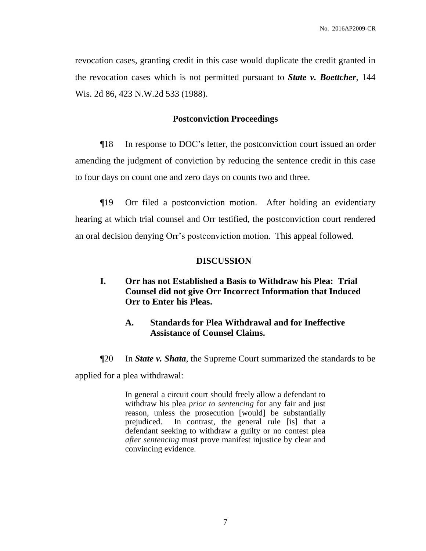revocation cases, granting credit in this case would duplicate the credit granted in the revocation cases which is not permitted pursuant to *State v. Boettcher*, 144 Wis. 2d 86, 423 N.W.2d 533 (1988).

## **Postconviction Proceedings**

¶18 In response to DOC's letter, the postconviction court issued an order amending the judgment of conviction by reducing the sentence credit in this case to four days on count one and zero days on counts two and three.

¶19 Orr filed a postconviction motion. After holding an evidentiary hearing at which trial counsel and Orr testified, the postconviction court rendered an oral decision denying Orr's postconviction motion. This appeal followed.

## **DISCUSSION**

- **I. Orr has not Established a Basis to Withdraw his Plea: Trial Counsel did not give Orr Incorrect Information that Induced Orr to Enter his Pleas.** 
	- **A. Standards for Plea Withdrawal and for Ineffective Assistance of Counsel Claims.**
- ¶20 In *[State v. Shata](https://1.next.westlaw.com/Document/If022dad3265111e590d4edf60ce7d742/View/FullText.html?originationContext=docHeader&contextData=(sc.UserEnteredCitation)&transitionType=Document&needToInjectTerms=False&userEnteredCitation=364+Wis.+2d+63&docSource=99d6b05283924d34b07a168688087c76)*, the Supreme Court summarized the standards to be

applied for a plea withdrawal:

In general a circuit court should freely allow a defendant to withdraw his plea *prior to sentencing* for any fair and just reason, unless the prosecution [would] be substantially prejudiced. In contrast, the general rule [is] that a defendant seeking to withdraw a guilty or no contest plea *after sentencing* must prove manifest injustice by clear and convincing evidence.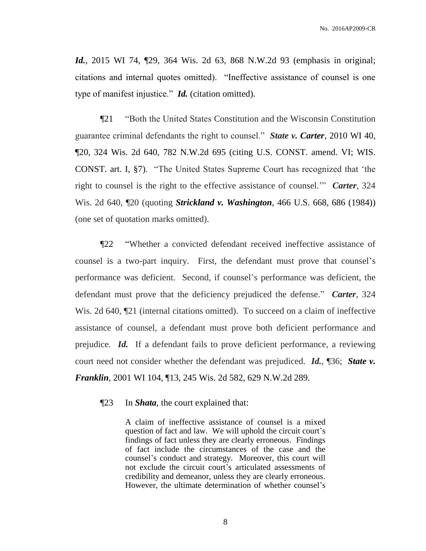*Id.*, 2015 WI 74, 129, 364 Wis. 2d 63, 868 N.W.2d 93 (emphasis in original; citations and internal quotes omitted). "Ineffective assistance of counsel is one type of manifest injustice." *Id.* (citation omitted).

¶21 "Both the United States Constitution and the Wisconsin Constitution guarantee criminal defendants the right to counsel." *State v. Carter*, [2010 WI 40,](https://1.next.westlaw.com/Link/Document/FullText?findType=Y&serNum=2022129798&pubNum=0000595&originatingDoc=If022dad3265111e590d4edf60ce7d742&refType=RP&originationContext=document&transitionType=DocumentItem&contextData=(sc.UserEnteredCitation)) ¶20, 324 Wis. 2d 640, [782 N.W.2d 695](https://1.next.westlaw.com/Link/Document/FullText?findType=Y&serNum=2022129798&pubNum=0000595&originatingDoc=If022dad3265111e590d4edf60ce7d742&refType=RP&originationContext=document&transitionType=DocumentItem&contextData=(sc.UserEnteredCitation)) (citing [U.S. CONST. amend. VI;](https://1.next.westlaw.com/Link/Document/FullText?findType=L&pubNum=1000583&cite=USCOAMENDVI&originatingDoc=If022dad3265111e590d4edf60ce7d742&refType=LQ&originationContext=document&transitionType=DocumentItem&contextData=(sc.UserEnteredCitation)) [WIS.](https://1.next.westlaw.com/Link/Document/FullText?findType=L&pubNum=1000757&cite=WICNART1S7&originatingDoc=If022dad3265111e590d4edf60ce7d742&refType=LQ&originationContext=document&transitionType=DocumentItem&contextData=(sc.UserEnteredCitation))  CONST. [art. I, §7\)](https://1.next.westlaw.com/Link/Document/FullText?findType=L&pubNum=1000757&cite=WICNART1S7&originatingDoc=If022dad3265111e590d4edf60ce7d742&refType=LQ&originationContext=document&transitionType=DocumentItem&contextData=(sc.UserEnteredCitation)). "The United States Supreme Court has recognized that 'the right to counsel is the right to the effective assistance of counsel.'" *Carter*, 324 Wis. 2d 640, ¶20 (quoting *Strickland v. Washington*, [466 U.S. 668, 686 \(1984\)\)](https://1.next.westlaw.com/Link/Document/FullText?findType=Y&serNum=1984123336&pubNum=0000708&originatingDoc=If022dad3265111e590d4edf60ce7d742&refType=RP&originationContext=document&transitionType=DocumentItem&contextData=(sc.UserEnteredCitation)) (one set of quotation marks omitted).

¶22 "Whether a convicted defendant received ineffective assistance of counsel is a two-part inquiry. First, the defendant must prove that counsel's performance was deficient. Second, if counsel's performance was deficient, the defendant must prove that the deficiency prejudiced the defense." *Carter*, 324 Wis. 2d 640,  $\llbracket 21 \rbracket$  (internal citations omitted). To succeed on a claim of ineffective assistance of counsel, a defendant must prove both deficient performance and prejudice. *Id.* If a defendant fails to prove deficient performance, a reviewing court need not consider whether the defendant was prejudiced. *Id.*, ¶36; *State v. Franklin*, 2001 WI 104, ¶13, 245 Wis. 2d 582, 629 N.W.2d 289.

¶23 In *Shata*, the court explained that:

A claim of ineffective assistance of counsel is a mixed question of fact and law. We will uphold the circuit court's findings of fact unless they are clearly erroneous. Findings of fact include the circumstances of the case and the counsel's conduct and strategy. Moreover, this court will not exclude the circuit court's articulated assessments of credibility and demeanor, unless they are clearly erroneous. However, the ultimate determination of whether counsel's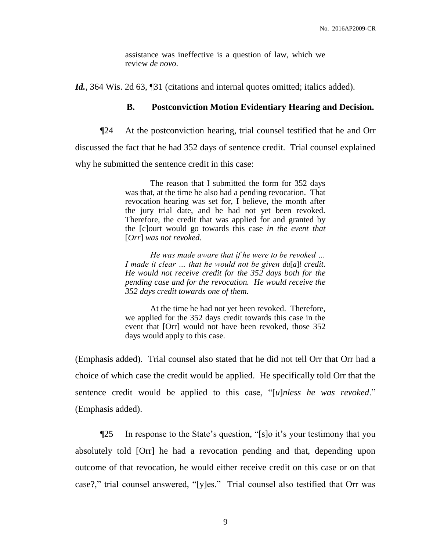assistance was ineffective is a question of law, which we review *de novo*.

Id., 364 Wis. 2d 63, [31] (citations and internal quotes omitted; italics added).

## **B. Postconviction Motion Evidentiary Hearing and Decision.**

¶24 At the postconviction hearing, trial counsel testified that he and Orr discussed the fact that he had 352 days of sentence credit. Trial counsel explained why he submitted the sentence credit in this case:

> The reason that I submitted the form for 352 days was that, at the time he also had a pending revocation. That revocation hearing was set for, I believe, the month after the jury trial date, and he had not yet been revoked. Therefore, the credit that was applied for and granted by the [c]ourt would go towards this case *in the event that*  [*Orr*] *was not revoked.*

> *He was made aware that if he were to be revoked … I* made it clear ... that he would not be given  $du[a]$ *l* credit. *He would not receive credit for the 352 days both for the pending case and for the revocation. He would receive the 352 days credit towards one of them.*

> At the time he had not yet been revoked. Therefore, we applied for the 352 days credit towards this case in the event that [Orr] would not have been revoked, those 352 days would apply to this case.

(Emphasis added). Trial counsel also stated that he did not tell Orr that Orr had a choice of which case the credit would be applied. He specifically told Orr that the sentence credit would be applied to this case, "[*u*]*nless he was revoked*." (Emphasis added).

¶25 In response to the State's question, "[s]o it's your testimony that you absolutely told [Orr] he had a revocation pending and that, depending upon outcome of that revocation, he would either receive credit on this case or on that case?," trial counsel answered, "[y]es." Trial counsel also testified that Orr was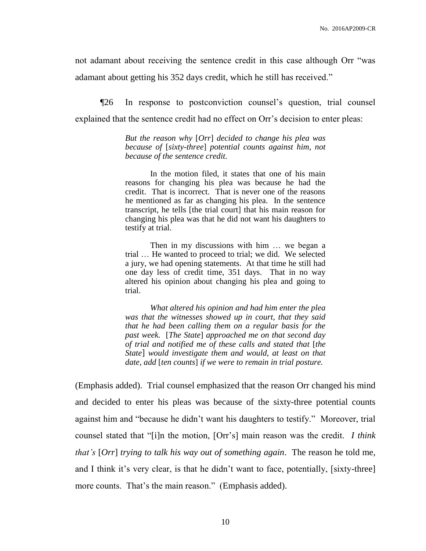not adamant about receiving the sentence credit in this case although Orr "was adamant about getting his 352 days credit, which he still has received."

¶26 In response to postconviction counsel's question, trial counsel explained that the sentence credit had no effect on Orr's decision to enter pleas:

> *But the reason why* [*Orr*] *decided to change his plea was because of* [*sixty-three*] *potential counts against him, not because of the sentence credit.*

> In the motion filed, it states that one of his main reasons for changing his plea was because he had the credit. That is incorrect. That is never one of the reasons he mentioned as far as changing his plea. In the sentence transcript, he tells [the trial court] that his main reason for changing his plea was that he did not want his daughters to testify at trial.

> Then in my discussions with him … we began a trial … He wanted to proceed to trial; we did. We selected a jury, we had opening statements. At that time he still had one day less of credit time, 351 days. That in no way altered his opinion about changing his plea and going to trial.

> *What altered his opinion and had him enter the plea was that the witnesses showed up in court, that they said that he had been calling them on a regular basis for the past week.* [*The State*] *approached me on that second day of trial and notified me of these calls and stated that* [*the State*] *would investigate them and would, at least on that date, add* [*ten counts*] *if we were to remain in trial posture.*

(Emphasis added). Trial counsel emphasized that the reason Orr changed his mind and decided to enter his pleas was because of the sixty-three potential counts against him and "because he didn't want his daughters to testify." Moreover, trial counsel stated that "[i]n the motion, [Orr's] main reason was the credit. *I think that's* [*Orr*] *trying to talk his way out of something again*. The reason he told me, and I think it's very clear, is that he didn't want to face, potentially, [sixty-three] more counts. That's the main reason." (Emphasis added).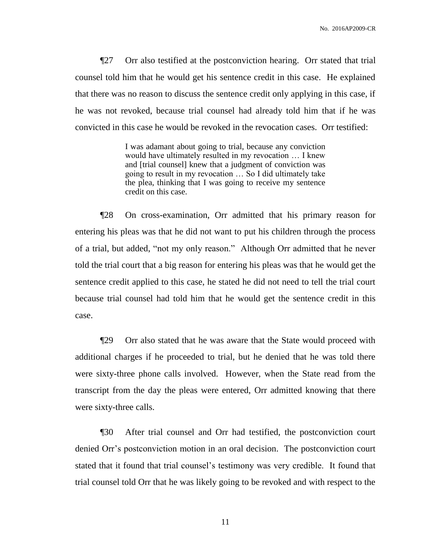¶27 Orr also testified at the postconviction hearing. Orr stated that trial counsel told him that he would get his sentence credit in this case. He explained that there was no reason to discuss the sentence credit only applying in this case, if he was not revoked, because trial counsel had already told him that if he was convicted in this case he would be revoked in the revocation cases. Orr testified:

> I was adamant about going to trial, because any conviction would have ultimately resulted in my revocation … I knew and [trial counsel] knew that a judgment of conviction was going to result in my revocation … So I did ultimately take the plea, thinking that I was going to receive my sentence credit on this case.

¶28 On cross-examination, Orr admitted that his primary reason for entering his pleas was that he did not want to put his children through the process of a trial, but added, "not my only reason." Although Orr admitted that he never told the trial court that a big reason for entering his pleas was that he would get the sentence credit applied to this case, he stated he did not need to tell the trial court because trial counsel had told him that he would get the sentence credit in this case.

¶29 Orr also stated that he was aware that the State would proceed with additional charges if he proceeded to trial, but he denied that he was told there were sixty-three phone calls involved. However, when the State read from the transcript from the day the pleas were entered, Orr admitted knowing that there were sixty-three calls.

¶30 After trial counsel and Orr had testified, the postconviction court denied Orr's postconviction motion in an oral decision. The postconviction court stated that it found that trial counsel's testimony was very credible. It found that trial counsel told Orr that he was likely going to be revoked and with respect to the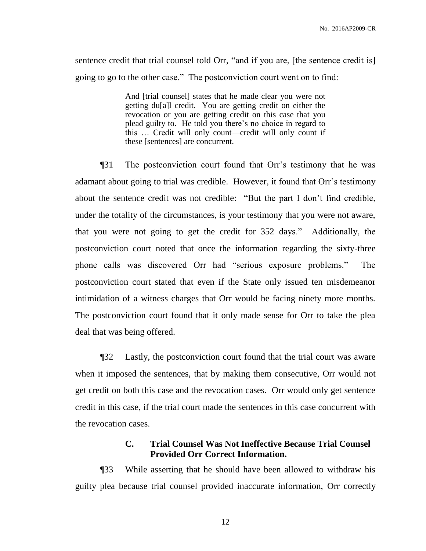sentence credit that trial counsel told Orr, "and if you are, [the sentence credit is] going to go to the other case." The postconviction court went on to find:

> And [trial counsel] states that he made clear you were not getting du[a]l credit. You are getting credit on either the revocation or you are getting credit on this case that you plead guilty to. He told you there's no choice in regard to this … Credit will only count—credit will only count if these [sentences] are concurrent.

¶31 The postconviction court found that Orr's testimony that he was adamant about going to trial was credible. However, it found that Orr's testimony about the sentence credit was not credible: "But the part I don't find credible, under the totality of the circumstances, is your testimony that you were not aware, that you were not going to get the credit for 352 days." Additionally, the postconviction court noted that once the information regarding the sixty-three phone calls was discovered Orr had "serious exposure problems." The postconviction court stated that even if the State only issued ten misdemeanor intimidation of a witness charges that Orr would be facing ninety more months. The postconviction court found that it only made sense for Orr to take the plea deal that was being offered.

¶32 Lastly, the postconviction court found that the trial court was aware when it imposed the sentences, that by making them consecutive, Orr would not get credit on both this case and the revocation cases. Orr would only get sentence credit in this case, if the trial court made the sentences in this case concurrent with the revocation cases.

## **C. Trial Counsel Was Not Ineffective Because Trial Counsel Provided Orr Correct Information.**

¶33 While asserting that he should have been allowed to withdraw his guilty plea because trial counsel provided inaccurate information, Orr correctly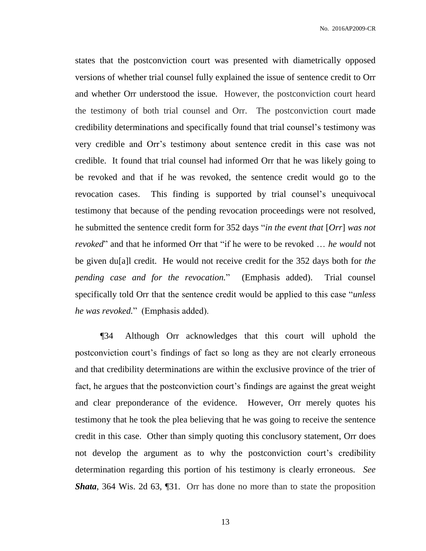states that the postconviction court was presented with diametrically opposed versions of whether trial counsel fully explained the issue of sentence credit to Orr and whether Orr understood the issue. However, the postconviction court heard the testimony of both trial counsel and Orr. The postconviction court made credibility determinations and specifically found that trial counsel's testimony was very credible and Orr's testimony about sentence credit in this case was not credible. It found that trial counsel had informed Orr that he was likely going to be revoked and that if he was revoked, the sentence credit would go to the revocation cases. This finding is supported by trial counsel's unequivocal testimony that because of the pending revocation proceedings were not resolved, he submitted the sentence credit form for 352 days "*in the event that* [*Orr*] *was not revoked*" and that he informed Orr that "if he were to be revoked … *he would* not be given du[a]l credit. He would not receive credit for the 352 days both for *the pending case and for the revocation.*" (Emphasis added). Trial counsel specifically told Orr that the sentence credit would be applied to this case "*unless he was revoked.*" (Emphasis added).

¶34 Although Orr acknowledges that this court will uphold the postconviction court's findings of fact so long as they are not clearly erroneous and that credibility determinations are within the exclusive province of the trier of fact, he argues that the postconviction court's findings are against the great weight and clear preponderance of the evidence. However, Orr merely quotes his testimony that he took the plea believing that he was going to receive the sentence credit in this case. Other than simply quoting this conclusory statement, Orr does not develop the argument as to why the postconviction court's credibility determination regarding this portion of his testimony is clearly erroneous. *See Shata*, 364 Wis. 2d 63, [31. Orr has done no more than to state the proposition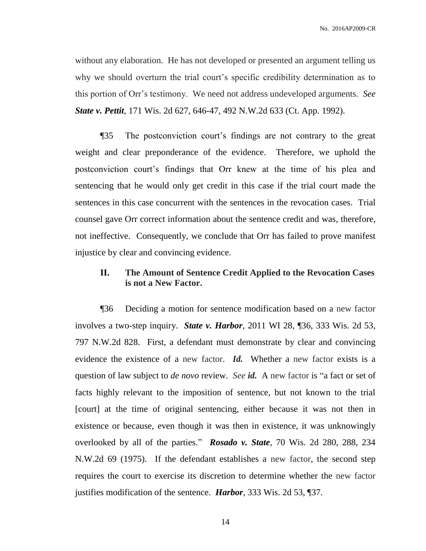without any elaboration. He has not developed or presented an argument telling us why we should overturn the trial court's specific credibility determination as to this portion of Orr's testimony. We need not address undeveloped arguments. *See State v. Pettit*, 171 Wis. [2d 627, 646-47, 492 N.W.2d 633 \(Ct.](https://1.next.westlaw.com/Link/Document/FullText?findType=Y&serNum=1992209867&pubNum=595&originatingDoc=I392b9f9861b211e381b8b0e9e015e69e&refType=RP&originationContext=document&transitionType=DocumentItem&contextData=(sc.Search)) App. 1992).

¶35 The postconviction court's findings are not contrary to the great weight and clear preponderance of the evidence. Therefore, we uphold the postconviction court's findings that Orr knew at the time of his plea and sentencing that he would only get credit in this case if the trial court made the sentences in this case concurrent with the sentences in the revocation cases. Trial counsel gave Orr correct information about the sentence credit and was, therefore, not ineffective. Consequently, we conclude that Orr has failed to prove manifest injustice by clear and convincing evidence.

## **II. The Amount of Sentence Credit Applied to the Revocation Cases is not a New Factor.**

¶36 Deciding a motion for sentence modification based on a new factor involves a two-step inquiry. *State v. Harbor*, 2011 [WI 28, ¶36, 333 Wis.](https://1.next.westlaw.com/Link/Document/FullText?findType=Y&serNum=2025377404&pubNum=0000595&originatingDoc=I589794bb382211e4b4bafa136b480ad2&refType=RP&originationContext=document&transitionType=DocumentItem&contextData=(sc.Search)) 2d 53, [797 N.W.2d 828.](https://1.next.westlaw.com/Link/Document/FullText?findType=Y&serNum=2025377404&pubNum=0000595&originatingDoc=I589794bb382211e4b4bafa136b480ad2&refType=RP&originationContext=document&transitionType=DocumentItem&contextData=(sc.Search)) First, a defendant must demonstrate by clear and convincing evidence the existence of a new factor. *Id.* Whether a new factor exists is a question of law subject to *de novo* review. *See id.* A new factor is "a fact or set of facts highly relevant to the imposition of sentence, but not known to the trial [court] at the time of original sentencing, either because it was not then in existence or because, even though it was then in existence, it was unknowingly overlooked by all of the parties." *Rosado v. State*, 70 Wis. [2d 280, 288, 234](https://1.next.westlaw.com/Link/Document/FullText?findType=Y&serNum=1975119546&pubNum=0000595&originatingDoc=I589794bb382211e4b4bafa136b480ad2&refType=RP&originationContext=document&transitionType=DocumentItem&contextData=(sc.Search))  [N.W.2d 69 \(1975\).](https://1.next.westlaw.com/Link/Document/FullText?findType=Y&serNum=1975119546&pubNum=0000595&originatingDoc=I589794bb382211e4b4bafa136b480ad2&refType=RP&originationContext=document&transitionType=DocumentItem&contextData=(sc.Search)) If the defendant establishes a new factor, the second step requires the court to exercise its discretion to determine whether the new factor justifies modification of the sentence. *Harbor*, [333 Wis.](https://1.next.westlaw.com/Link/Document/FullText?findType=Y&serNum=2025377404&pubNum=0000595&originatingDoc=I589794bb382211e4b4bafa136b480ad2&refType=RP&originationContext=document&transitionType=DocumentItem&contextData=(sc.Search)) 2d 53, ¶37.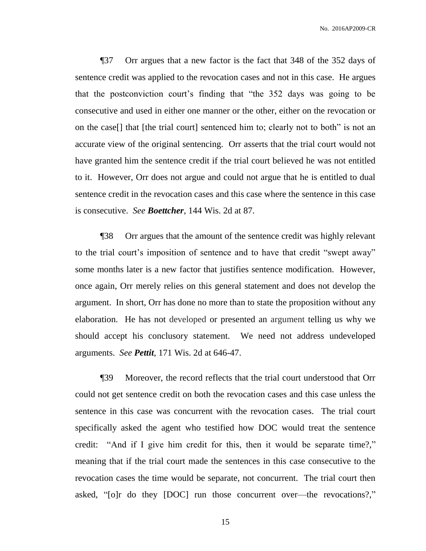¶37 Orr argues that a new factor is the fact that 348 of the 352 days of sentence credit was applied to the revocation cases and not in this case. He argues that the postconviction court's finding that "the 352 days was going to be consecutive and used in either one manner or the other, either on the revocation or on the case[] that [the trial court] sentenced him to; clearly not to both" is not an accurate view of the original sentencing. Orr asserts that the trial court would not have granted him the sentence credit if the trial court believed he was not entitled to it. However, Orr does not argue and could not argue that he is entitled to dual sentence credit in the revocation cases and this case where the sentence in this case is consecutive. *See Boettcher*, 144 Wis. 2d at 87.

¶38 Orr argues that the amount of the sentence credit was highly relevant to the trial court's imposition of sentence and to have that credit "swept away" some months later is a new factor that justifies sentence modification. However, once again, Orr merely relies on this general statement and does not develop the argument. In short, Orr has done no more than to state the proposition without any elaboration. He has not developed or presented an argument telling us why we should accept his conclusory statement. We need not address undeveloped arguments. *See Pettit*, 171 Wis. [2d at 646-47.](https://1.next.westlaw.com/Link/Document/FullText?findType=Y&serNum=1992209867&pubNum=595&originatingDoc=I392b9f9861b211e381b8b0e9e015e69e&refType=RP&originationContext=document&transitionType=DocumentItem&contextData=(sc.Search))

¶39 Moreover, the record reflects that the trial court understood that Orr could not get sentence credit on both the revocation cases and this case unless the sentence in this case was concurrent with the revocation cases. The trial court specifically asked the agent who testified how DOC would treat the sentence credit: "And if I give him credit for this, then it would be separate time?," meaning that if the trial court made the sentences in this case consecutive to the revocation cases the time would be separate, not concurrent. The trial court then asked, "[o]r do they [DOC] run those concurrent over—the revocations?,"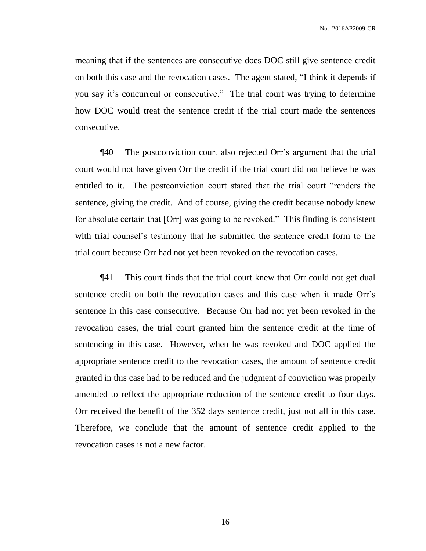meaning that if the sentences are consecutive does DOC still give sentence credit on both this case and the revocation cases. The agent stated, "I think it depends if you say it's concurrent or consecutive." The trial court was trying to determine how DOC would treat the sentence credit if the trial court made the sentences consecutive.

¶40 The postconviction court also rejected Orr's argument that the trial court would not have given Orr the credit if the trial court did not believe he was entitled to it. The postconviction court stated that the trial court "renders the sentence, giving the credit. And of course, giving the credit because nobody knew for absolute certain that [Orr] was going to be revoked." This finding is consistent with trial counsel's testimony that he submitted the sentence credit form to the trial court because Orr had not yet been revoked on the revocation cases.

¶41 This court finds that the trial court knew that Orr could not get dual sentence credit on both the revocation cases and this case when it made Orr's sentence in this case consecutive. Because Orr had not yet been revoked in the revocation cases, the trial court granted him the sentence credit at the time of sentencing in this case. However, when he was revoked and DOC applied the appropriate sentence credit to the revocation cases, the amount of sentence credit granted in this case had to be reduced and the judgment of conviction was properly amended to reflect the appropriate reduction of the sentence credit to four days. Orr received the benefit of the 352 days sentence credit, just not all in this case. Therefore, we conclude that the amount of sentence credit applied to the revocation cases is not a new factor.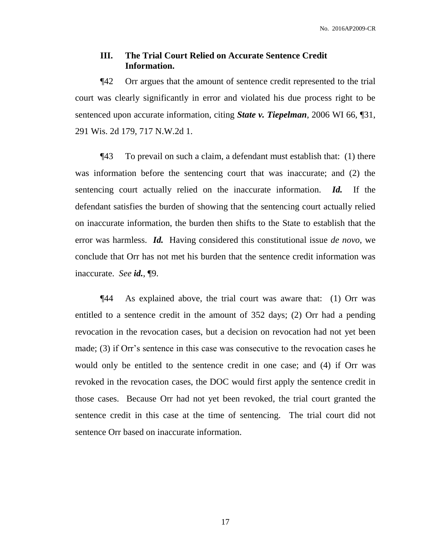## **III. The Trial Court Relied on Accurate Sentence Credit Information.**

¶42 Orr argues that the amount of sentence credit represented to the trial court was clearly significantly in error and violated his due process right to be sentenced upon accurate information, citing *State v. Tiepelman*, 2006 WI 66, ¶31, 291 Wis. 2d 179, 717 N.W.2d 1.

¶43 To prevail on such a claim, a defendant must establish that: (1) there was information before the sentencing court that was inaccurate; and (2) the sentencing court actually relied on the inaccurate information. *Id.* If the defendant satisfies the burden of showing that the sentencing court actually relied on inaccurate information, the burden then shifts to the State to establish that the error was harmless. *Id.* Having considered this constitutional issue *de novo*, we conclude that Orr has not met his burden that the sentence credit information was inaccurate. *See id.*, ¶9.

¶44 As explained above, the trial court was aware that: (1) Orr was entitled to a sentence credit in the amount of 352 days; (2) Orr had a pending revocation in the revocation cases, but a decision on revocation had not yet been made; (3) if Orr's sentence in this case was consecutive to the revocation cases he would only be entitled to the sentence credit in one case; and (4) if Orr was revoked in the revocation cases, the DOC would first apply the sentence credit in those cases. Because Orr had not yet been revoked, the trial court granted the sentence credit in this case at the time of sentencing. The trial court did not sentence Orr based on inaccurate information.